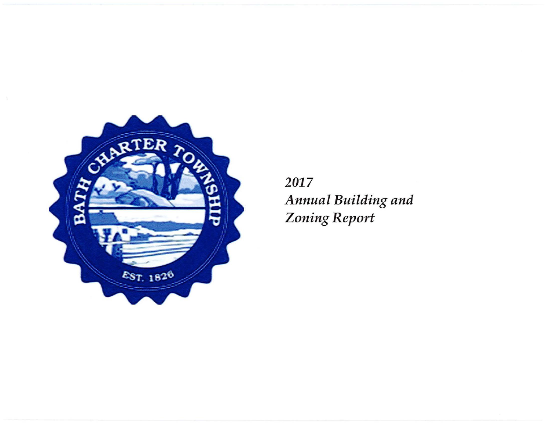

2017 Annual Building and **Zoning Report**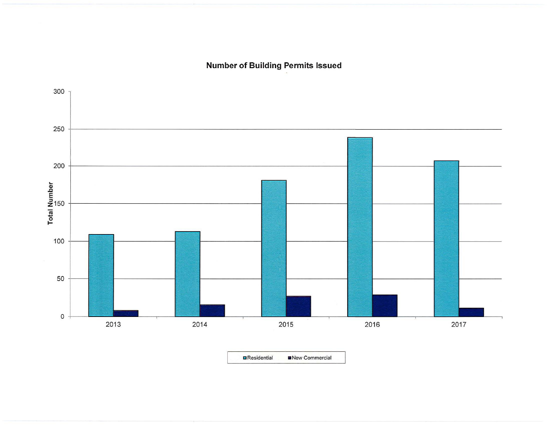**Number of Building Permits Issued** 



■Residential ■New Commercial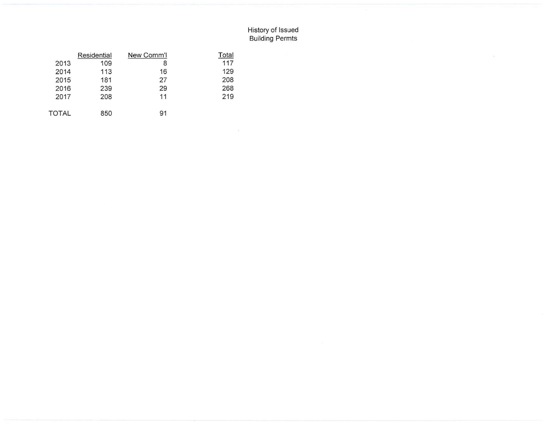## History of Issued Building Permts

 $\sim$ 

|              | Residential | New Comm'l | Total |
|--------------|-------------|------------|-------|
| 2013         | 109         | 8          | 117   |
| 2014         | 113         | 16         | 129   |
| 2015         | 181         | 27         | 208   |
| 2016         | 239         | 29         | 268   |
| 2017         | 208         | 11         | 219   |
| <b>TOTAL</b> | 850         | 91         |       |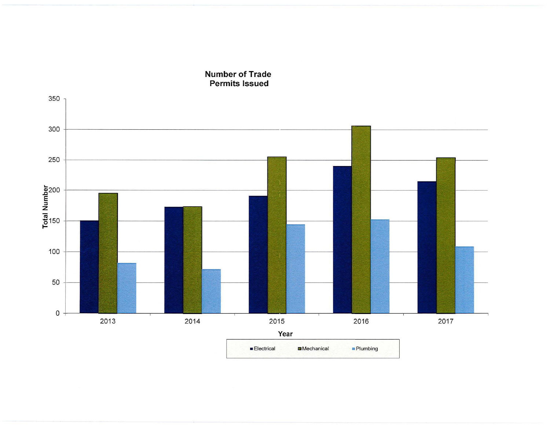

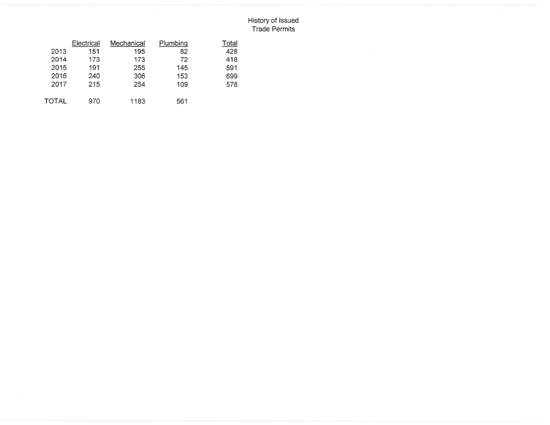## History of Issued Trade Permits

|       | Electrical | Mechanical | Plumbing | Total |
|-------|------------|------------|----------|-------|
| 2013  | 151        | 195        | 82       | 428   |
| 2014  | 173        | 173        | 72       | 418   |
| 2015  | 191        | 255        | 145      | 591   |
| 2016  | 240        | 306        | 153      | 699   |
| 2017  | 215        | 254        | 109      | 578   |
| TOTAL | 970        | 1183       | 561      |       |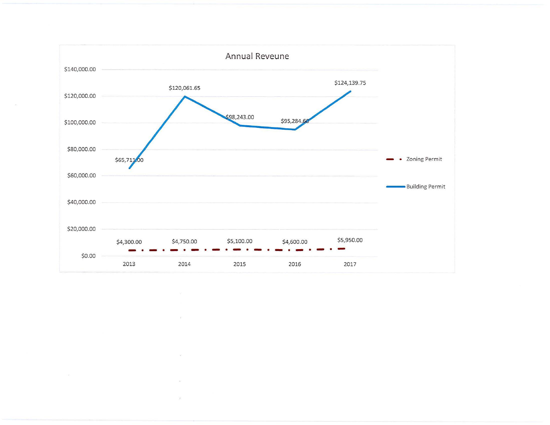

 $\overline{\mathcal{D}}$